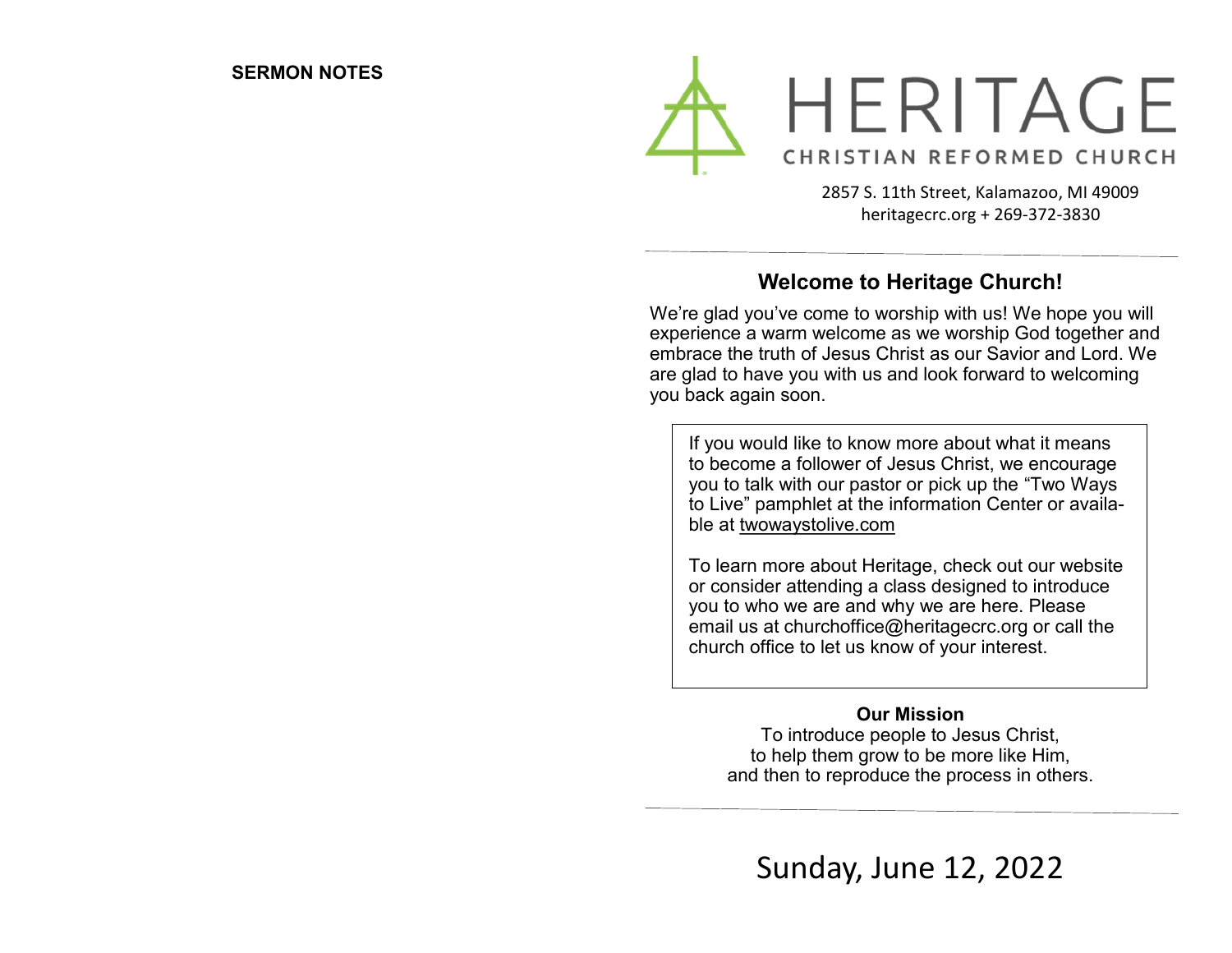

2857 S. 11th Street, Kalamazoo, MI 49009 heritagecrc.org + 269-372-3830

## **Welcome to Heritage Church!**

We're glad you've come to worship with us! We hope you will experience a warm welcome as we worship God together and embrace the truth of Jesus Christ as our Savior and Lord. We are glad to have you with us and look forward to welcoming you back again soon.

If you would like to know more about what it means to become a follower of Jesus Christ, we encourage you to talk with our pastor or pick up the "Two Ways to Live" pamphlet at the information Center or available at twowaystolive.com

To learn more about Heritage, check out our website or consider attending a class designed to introduce you to who we are and why we are here. Please email us at churchoffice@heritagecrc.org or call the church office to let us know of your interest.

### **Our Mission**

To introduce people to Jesus Christ, to help them grow to be more like Him, and then to reproduce the process in others.

Sunday, June 12, 2022